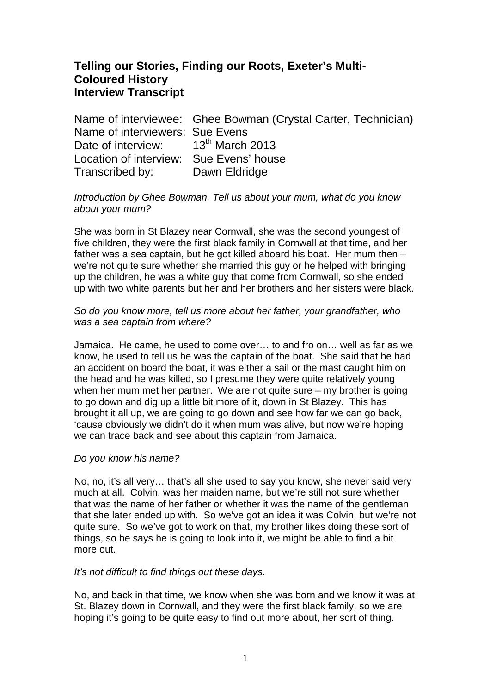# **Telling our Stories, Finding our Roots, Exeter's Multi-Coloured History Interview Transcript**

Name of interviewee: Ghee Bowman (Crystal Carter, Technician) Name of interviewers: Sue Evens Date of interview: 13<sup>th</sup> March 2013 Location of interview: Sue Evens' house Transcribed by: Dawn Eldridge

### Introduction by Ghee Bowman. Tell us about your mum, what do you know about your mum?

She was born in St Blazey near Cornwall, she was the second youngest of five children, they were the first black family in Cornwall at that time, and her father was a sea captain, but he got killed aboard his boat. Her mum then – we're not quite sure whether she married this guy or he helped with bringing up the children, he was a white guy that come from Cornwall, so she ended up with two white parents but her and her brothers and her sisters were black.

### So do you know more, tell us more about her father, your grandfather, who was a sea captain from where?

Jamaica. He came, he used to come over… to and fro on… well as far as we know, he used to tell us he was the captain of the boat. She said that he had an accident on board the boat, it was either a sail or the mast caught him on the head and he was killed, so I presume they were quite relatively young when her mum met her partner. We are not quite sure – my brother is going to go down and dig up a little bit more of it, down in St Blazey. This has brought it all up, we are going to go down and see how far we can go back, 'cause obviously we didn't do it when mum was alive, but now we're hoping we can trace back and see about this captain from Jamaica.

### Do you know his name?

No, no, it's all very… that's all she used to say you know, she never said very much at all. Colvin, was her maiden name, but we're still not sure whether that was the name of her father or whether it was the name of the gentleman that she later ended up with. So we've got an idea it was Colvin, but we're not quite sure. So we've got to work on that, my brother likes doing these sort of things, so he says he is going to look into it, we might be able to find a bit more out.

#### It's not difficult to find things out these days.

No, and back in that time, we know when she was born and we know it was at St. Blazey down in Cornwall, and they were the first black family, so we are hoping it's going to be quite easy to find out more about, her sort of thing.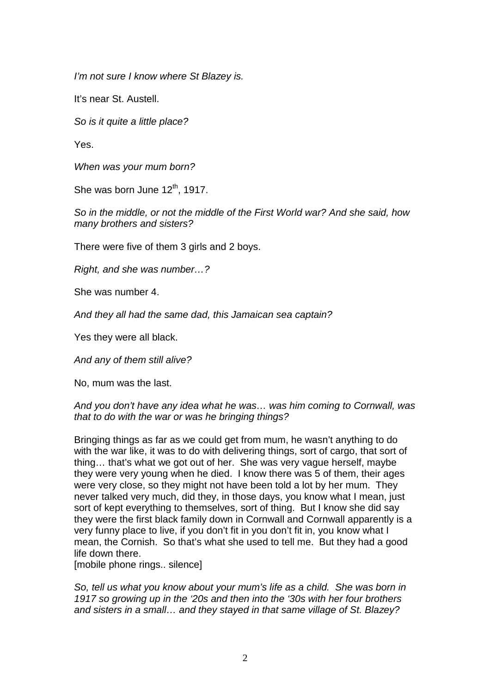I'm not sure I know where St Blazey is.

It's near St. Austell.

So is it quite a little place?

Yes.

When was your mum born?

She was born June  $12<sup>th</sup>$ , 1917.

So in the middle, or not the middle of the First World war? And she said, how many brothers and sisters?

There were five of them 3 girls and 2 boys.

Right, and she was number…?

She was number 4.

And they all had the same dad, this Jamaican sea captain?

Yes they were all black.

And any of them still alive?

No, mum was the last.

### And you don't have any idea what he was… was him coming to Cornwall, was that to do with the war or was he bringing things?

Bringing things as far as we could get from mum, he wasn't anything to do with the war like, it was to do with delivering things, sort of cargo, that sort of thing… that's what we got out of her. She was very vague herself, maybe they were very young when he died. I know there was 5 of them, their ages were very close, so they might not have been told a lot by her mum. They never talked very much, did they, in those days, you know what I mean, just sort of kept everything to themselves, sort of thing. But I know she did say they were the first black family down in Cornwall and Cornwall apparently is a very funny place to live, if you don't fit in you don't fit in, you know what I mean, the Cornish. So that's what she used to tell me. But they had a good life down there.

[mobile phone rings.. silence]

So, tell us what you know about your mum's life as a child. She was born in 1917 so growing up in the '20s and then into the '30s with her four brothers and sisters in a small… and they stayed in that same village of St. Blazey?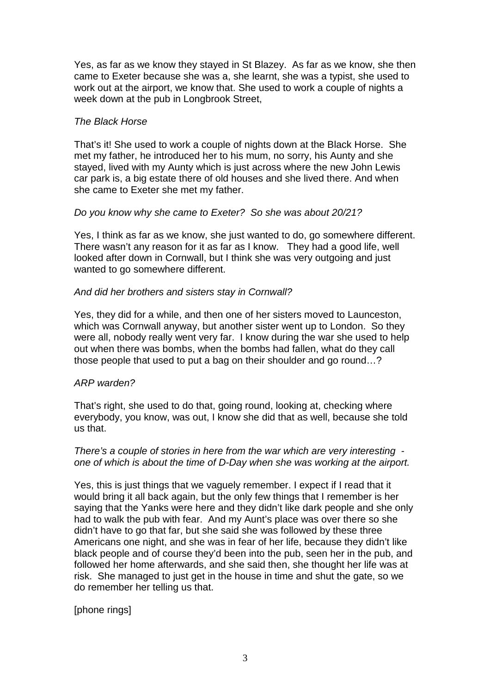Yes, as far as we know they stayed in St Blazey. As far as we know, she then came to Exeter because she was a, she learnt, she was a typist, she used to work out at the airport, we know that. She used to work a couple of nights a week down at the pub in Longbrook Street,

### The Black Horse

That's it! She used to work a couple of nights down at the Black Horse. She met my father, he introduced her to his mum, no sorry, his Aunty and she stayed, lived with my Aunty which is just across where the new John Lewis car park is, a big estate there of old houses and she lived there. And when she came to Exeter she met my father.

### Do you know why she came to Exeter? So she was about 20/21?

Yes, I think as far as we know, she just wanted to do, go somewhere different. There wasn't any reason for it as far as I know. They had a good life, well looked after down in Cornwall, but I think she was very outgoing and just wanted to go somewhere different.

### And did her brothers and sisters stay in Cornwall?

Yes, they did for a while, and then one of her sisters moved to Launceston, which was Cornwall anyway, but another sister went up to London. So they were all, nobody really went very far. I know during the war she used to help out when there was bombs, when the bombs had fallen, what do they call those people that used to put a bag on their shoulder and go round…?

### ARP warden?

That's right, she used to do that, going round, looking at, checking where everybody, you know, was out, I know she did that as well, because she told us that.

### There's a couple of stories in here from the war which are very interesting one of which is about the time of D-Day when she was working at the airport.

Yes, this is just things that we vaguely remember. I expect if I read that it would bring it all back again, but the only few things that I remember is her saying that the Yanks were here and they didn't like dark people and she only had to walk the pub with fear. And my Aunt's place was over there so she didn't have to go that far, but she said she was followed by these three Americans one night, and she was in fear of her life, because they didn't like black people and of course they'd been into the pub, seen her in the pub, and followed her home afterwards, and she said then, she thought her life was at risk. She managed to just get in the house in time and shut the gate, so we do remember her telling us that.

[phone rings]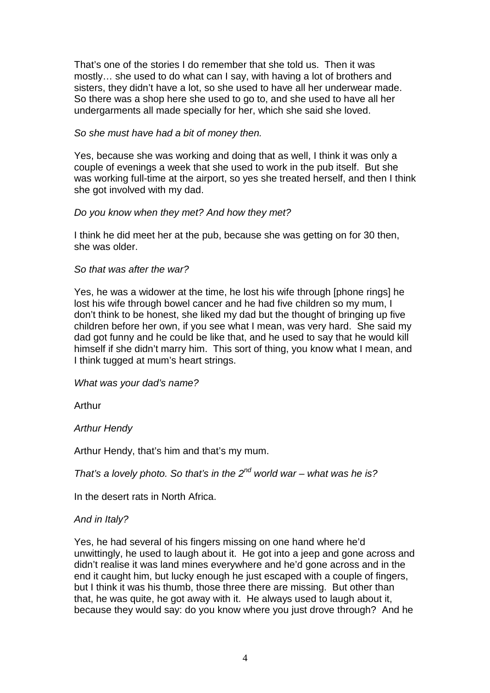That's one of the stories I do remember that she told us. Then it was mostly… she used to do what can I say, with having a lot of brothers and sisters, they didn't have a lot, so she used to have all her underwear made. So there was a shop here she used to go to, and she used to have all her undergarments all made specially for her, which she said she loved.

### So she must have had a bit of money then.

Yes, because she was working and doing that as well, I think it was only a couple of evenings a week that she used to work in the pub itself. But she was working full-time at the airport, so yes she treated herself, and then I think she got involved with my dad.

### Do you know when they met? And how they met?

I think he did meet her at the pub, because she was getting on for 30 then, she was older.

### So that was after the war?

Yes, he was a widower at the time, he lost his wife through [phone rings] he lost his wife through bowel cancer and he had five children so my mum, I don't think to be honest, she liked my dad but the thought of bringing up five children before her own, if you see what I mean, was very hard. She said my dad got funny and he could be like that, and he used to say that he would kill himself if she didn't marry him. This sort of thing, you know what I mean, and I think tugged at mum's heart strings.

### What was your dad's name?

Arthur

### Arthur Hendy

Arthur Hendy, that's him and that's my mum.

That's a lovely photo. So that's in the  $2^{nd}$  world war – what was he is?

In the desert rats in North Africa.

### And in Italy?

Yes, he had several of his fingers missing on one hand where he'd unwittingly, he used to laugh about it. He got into a jeep and gone across and didn't realise it was land mines everywhere and he'd gone across and in the end it caught him, but lucky enough he just escaped with a couple of fingers, but I think it was his thumb, those three there are missing. But other than that, he was quite, he got away with it. He always used to laugh about it, because they would say: do you know where you just drove through? And he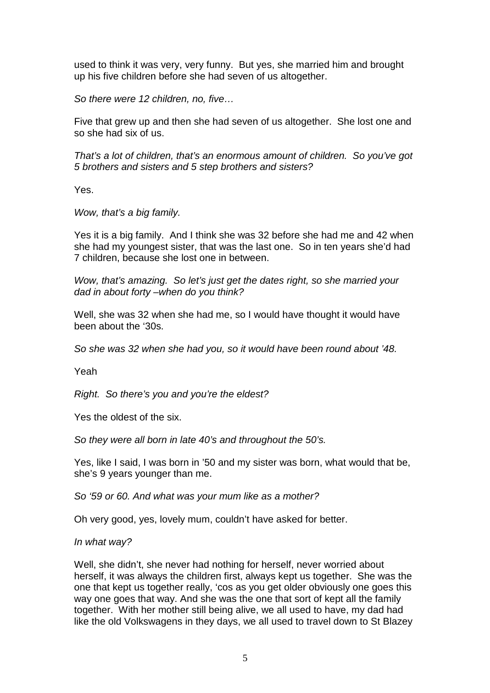used to think it was very, very funny. But yes, she married him and brought up his five children before she had seven of us altogether.

So there were 12 children, no, five…

Five that grew up and then she had seven of us altogether. She lost one and so she had six of us.

That's a lot of children, that's an enormous amount of children. So you've got 5 brothers and sisters and 5 step brothers and sisters?

Yes.

Wow, that's a big family.

Yes it is a big family. And I think she was 32 before she had me and 42 when she had my youngest sister, that was the last one. So in ten years she'd had 7 children, because she lost one in between.

Wow, that's amazing. So let's just get the dates right, so she married your dad in about forty –when do you think?

Well, she was 32 when she had me, so I would have thought it would have been about the '30s.

So she was 32 when she had you, so it would have been round about '48.

Yeah

Right. So there's you and you're the eldest?

Yes the oldest of the six.

So they were all born in late 40's and throughout the 50's.

Yes, like I said, I was born in '50 and my sister was born, what would that be, she's 9 years younger than me.

So '59 or 60. And what was your mum like as a mother?

Oh very good, yes, lovely mum, couldn't have asked for better.

#### In what way?

Well, she didn't, she never had nothing for herself, never worried about herself, it was always the children first, always kept us together. She was the one that kept us together really, 'cos as you get older obviously one goes this way one goes that way. And she was the one that sort of kept all the family together. With her mother still being alive, we all used to have, my dad had like the old Volkswagens in they days, we all used to travel down to St Blazey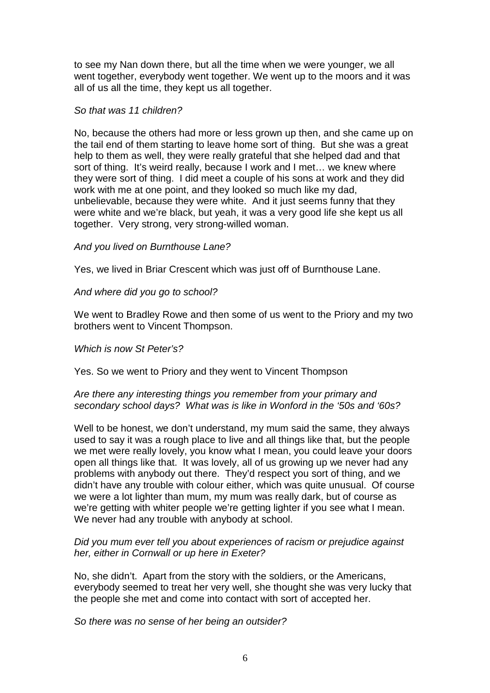to see my Nan down there, but all the time when we were younger, we all went together, everybody went together. We went up to the moors and it was all of us all the time, they kept us all together.

### So that was 11 children?

No, because the others had more or less grown up then, and she came up on the tail end of them starting to leave home sort of thing. But she was a great help to them as well, they were really grateful that she helped dad and that sort of thing. It's weird really, because I work and I met… we knew where they were sort of thing. I did meet a couple of his sons at work and they did work with me at one point, and they looked so much like my dad, unbelievable, because they were white. And it just seems funny that they were white and we're black, but yeah, it was a very good life she kept us all together. Very strong, very strong-willed woman.

### And you lived on Burnthouse Lane?

Yes, we lived in Briar Crescent which was just off of Burnthouse Lane.

### And where did you go to school?

We went to Bradley Rowe and then some of us went to the Priory and my two brothers went to Vincent Thompson.

Which is now St Peter's?

Yes. So we went to Priory and they went to Vincent Thompson

### Are there any interesting things you remember from your primary and secondary school days? What was is like in Wonford in the '50s and '60s?

Well to be honest, we don't understand, my mum said the same, they always used to say it was a rough place to live and all things like that, but the people we met were really lovely, you know what I mean, you could leave your doors open all things like that. It was lovely, all of us growing up we never had any problems with anybody out there. They'd respect you sort of thing, and we didn't have any trouble with colour either, which was quite unusual. Of course we were a lot lighter than mum, my mum was really dark, but of course as we're getting with whiter people we're getting lighter if you see what I mean. We never had any trouble with anybody at school.

### Did you mum ever tell you about experiences of racism or prejudice against her, either in Cornwall or up here in Exeter?

No, she didn't. Apart from the story with the soldiers, or the Americans, everybody seemed to treat her very well, she thought she was very lucky that the people she met and come into contact with sort of accepted her.

So there was no sense of her being an outsider?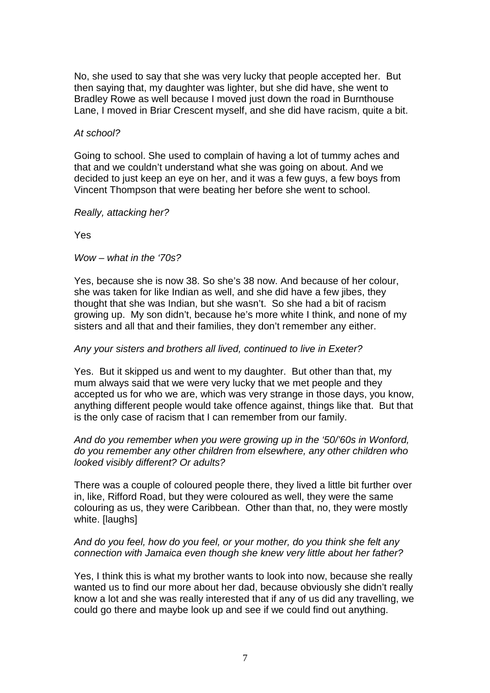No, she used to say that she was very lucky that people accepted her. But then saying that, my daughter was lighter, but she did have, she went to Bradley Rowe as well because I moved just down the road in Burnthouse Lane, I moved in Briar Crescent myself, and she did have racism, quite a bit.

### At school?

Going to school. She used to complain of having a lot of tummy aches and that and we couldn't understand what she was going on about. And we decided to just keep an eye on her, and it was a few guys, a few boys from Vincent Thompson that were beating her before she went to school.

Really, attacking her?

Yes

 $Wow - what$  in the '70s?

Yes, because she is now 38. So she's 38 now. And because of her colour, she was taken for like Indian as well, and she did have a few jibes, they thought that she was Indian, but she wasn't. So she had a bit of racism growing up. My son didn't, because he's more white I think, and none of my sisters and all that and their families, they don't remember any either.

### Any your sisters and brothers all lived, continued to live in Exeter?

Yes. But it skipped us and went to my daughter. But other than that, my mum always said that we were very lucky that we met people and they accepted us for who we are, which was very strange in those days, you know, anything different people would take offence against, things like that. But that is the only case of racism that I can remember from our family.

### And do you remember when you were growing up in the '50/'60s in Wonford, do you remember any other children from elsewhere, any other children who looked visibly different? Or adults?

There was a couple of coloured people there, they lived a little bit further over in, like, Rifford Road, but they were coloured as well, they were the same colouring as us, they were Caribbean. Other than that, no, they were mostly white. [laughs]

### And do you feel, how do you feel, or your mother, do you think she felt any connection with Jamaica even though she knew very little about her father?

Yes, I think this is what my brother wants to look into now, because she really wanted us to find our more about her dad, because obviously she didn't really know a lot and she was really interested that if any of us did any travelling, we could go there and maybe look up and see if we could find out anything.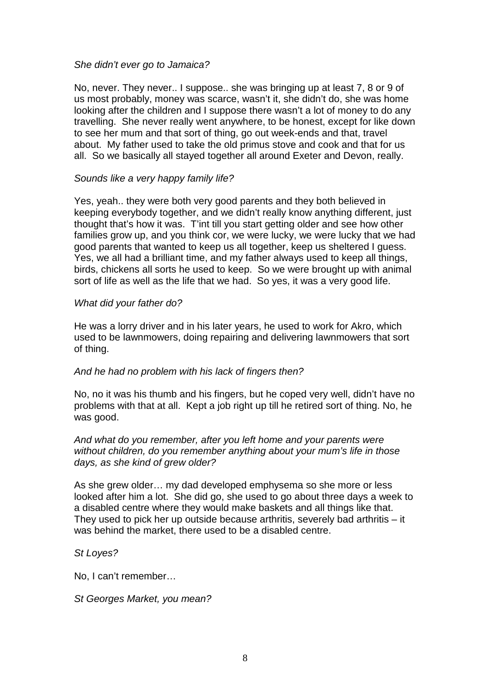### She didn't ever go to Jamaica?

No, never. They never.. I suppose.. she was bringing up at least 7, 8 or 9 of us most probably, money was scarce, wasn't it, she didn't do, she was home looking after the children and I suppose there wasn't a lot of money to do any travelling. She never really went anywhere, to be honest, except for like down to see her mum and that sort of thing, go out week-ends and that, travel about. My father used to take the old primus stove and cook and that for us all. So we basically all stayed together all around Exeter and Devon, really.

### Sounds like a very happy family life?

Yes, yeah.. they were both very good parents and they both believed in keeping everybody together, and we didn't really know anything different, just thought that's how it was. T'int till you start getting older and see how other families grow up, and you think cor, we were lucky, we were lucky that we had good parents that wanted to keep us all together, keep us sheltered I guess. Yes, we all had a brilliant time, and my father always used to keep all things, birds, chickens all sorts he used to keep. So we were brought up with animal sort of life as well as the life that we had. So yes, it was a very good life.

### What did your father do?

He was a lorry driver and in his later years, he used to work for Akro, which used to be lawnmowers, doing repairing and delivering lawnmowers that sort of thing.

### And he had no problem with his lack of fingers then?

No, no it was his thumb and his fingers, but he coped very well, didn't have no problems with that at all. Kept a job right up till he retired sort of thing. No, he was good.

### And what do you remember, after you left home and your parents were without children, do you remember anything about your mum's life in those days, as she kind of grew older?

As she grew older… my dad developed emphysema so she more or less looked after him a lot. She did go, she used to go about three days a week to a disabled centre where they would make baskets and all things like that. They used to pick her up outside because arthritis, severely bad arthritis – it was behind the market, there used to be a disabled centre.

### St Loyes?

No, I can't remember…

St Georges Market, you mean?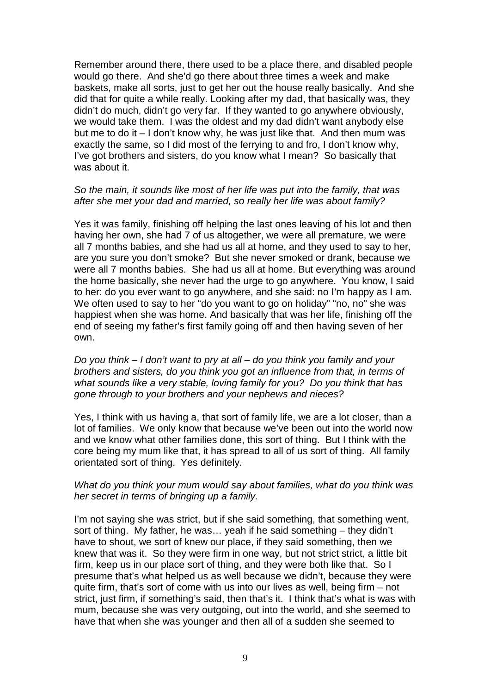Remember around there, there used to be a place there, and disabled people would go there. And she'd go there about three times a week and make baskets, make all sorts, just to get her out the house really basically. And she did that for quite a while really. Looking after my dad, that basically was, they didn't do much, didn't go very far. If they wanted to go anywhere obviously, we would take them. I was the oldest and my dad didn't want anybody else but me to do it – I don't know why, he was just like that. And then mum was exactly the same, so I did most of the ferrying to and fro, I don't know why, I've got brothers and sisters, do you know what I mean? So basically that was about it.

#### So the main, it sounds like most of her life was put into the family, that was after she met your dad and married, so really her life was about family?

Yes it was family, finishing off helping the last ones leaving of his lot and then having her own, she had 7 of us altogether, we were all premature, we were all 7 months babies, and she had us all at home, and they used to say to her, are you sure you don't smoke? But she never smoked or drank, because we were all 7 months babies. She had us all at home. But everything was around the home basically, she never had the urge to go anywhere. You know, I said to her: do you ever want to go anywhere, and she said: no I'm happy as I am. We often used to say to her "do you want to go on holiday" "no, no" she was happiest when she was home. And basically that was her life, finishing off the end of seeing my father's first family going off and then having seven of her own.

Do you think  $-1$  don't want to pry at all  $-$  do you think you family and your brothers and sisters, do you think you got an influence from that, in terms of what sounds like a very stable, loving family for you? Do you think that has gone through to your brothers and your nephews and nieces?

Yes, I think with us having a, that sort of family life, we are a lot closer, than a lot of families. We only know that because we've been out into the world now and we know what other families done, this sort of thing. But I think with the core being my mum like that, it has spread to all of us sort of thing. All family orientated sort of thing. Yes definitely.

### What do you think your mum would say about families, what do you think was her secret in terms of bringing up a family.

I'm not saving she was strict, but if she said something, that something went, sort of thing. My father, he was… yeah if he said something – they didn't have to shout, we sort of knew our place, if they said something, then we knew that was it. So they were firm in one way, but not strict strict, a little bit firm, keep us in our place sort of thing, and they were both like that. So I presume that's what helped us as well because we didn't, because they were quite firm, that's sort of come with us into our lives as well, being firm – not strict, just firm, if something's said, then that's it. I think that's what is was with mum, because she was very outgoing, out into the world, and she seemed to have that when she was younger and then all of a sudden she seemed to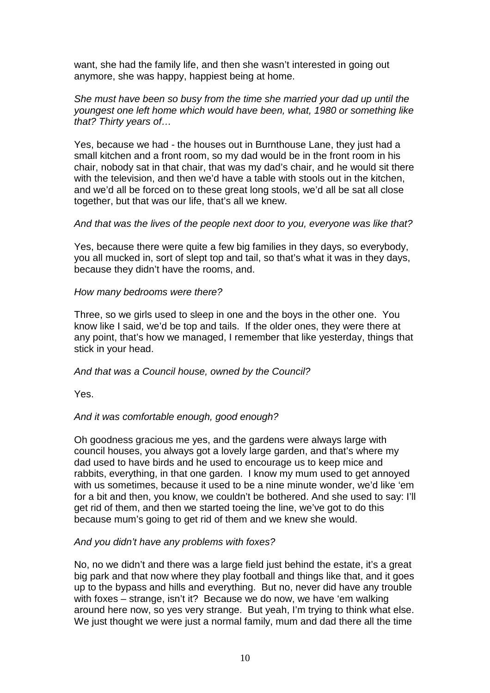want, she had the family life, and then she wasn't interested in going out anymore, she was happy, happiest being at home.

### She must have been so busy from the time she married your dad up until the youngest one left home which would have been, what, 1980 or something like that? Thirty years of…

Yes, because we had - the houses out in Burnthouse Lane, they just had a small kitchen and a front room, so my dad would be in the front room in his chair, nobody sat in that chair, that was my dad's chair, and he would sit there with the television, and then we'd have a table with stools out in the kitchen, and we'd all be forced on to these great long stools, we'd all be sat all close together, but that was our life, that's all we knew.

### And that was the lives of the people next door to you, everyone was like that?

Yes, because there were quite a few big families in they days, so everybody, you all mucked in, sort of slept top and tail, so that's what it was in they days, because they didn't have the rooms, and.

### How many bedrooms were there?

Three, so we girls used to sleep in one and the boys in the other one. You know like I said, we'd be top and tails. If the older ones, they were there at any point, that's how we managed, I remember that like yesterday, things that stick in your head.

### And that was a Council house, owned by the Council?

Yes.

### And it was comfortable enough, good enough?

Oh goodness gracious me yes, and the gardens were always large with council houses, you always got a lovely large garden, and that's where my dad used to have birds and he used to encourage us to keep mice and rabbits, everything, in that one garden. I know my mum used to get annoyed with us sometimes, because it used to be a nine minute wonder, we'd like 'em for a bit and then, you know, we couldn't be bothered. And she used to say: I'll get rid of them, and then we started toeing the line, we've got to do this because mum's going to get rid of them and we knew she would.

### And you didn't have any problems with foxes?

No, no we didn't and there was a large field just behind the estate, it's a great big park and that now where they play football and things like that, and it goes up to the bypass and hills and everything. But no, never did have any trouble with foxes – strange, isn't it? Because we do now, we have 'em walking around here now, so yes very strange. But yeah, I'm trying to think what else. We just thought we were just a normal family, mum and dad there all the time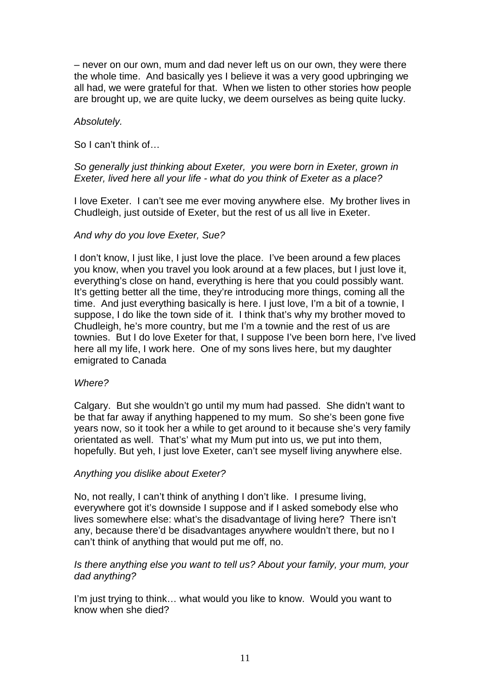– never on our own, mum and dad never left us on our own, they were there the whole time. And basically yes I believe it was a very good upbringing we all had, we were grateful for that. When we listen to other stories how people are brought up, we are quite lucky, we deem ourselves as being quite lucky.

# Absolutely.

So I can't think of…

# So generally just thinking about Exeter, you were born in Exeter, grown in Exeter, lived here all your life - what do you think of Exeter as a place?

I love Exeter. I can't see me ever moving anywhere else. My brother lives in Chudleigh, just outside of Exeter, but the rest of us all live in Exeter.

# And why do you love Exeter, Sue?

I don't know, I just like, I just love the place. I've been around a few places you know, when you travel you look around at a few places, but I just love it, everything's close on hand, everything is here that you could possibly want. It's getting better all the time, they're introducing more things, coming all the time. And just everything basically is here. I just love, I'm a bit of a townie, I suppose, I do like the town side of it. I think that's why my brother moved to Chudleigh, he's more country, but me I'm a townie and the rest of us are townies. But I do love Exeter for that, I suppose I've been born here, I've lived here all my life, I work here. One of my sons lives here, but my daughter emigrated to Canada

### Where?

Calgary. But she wouldn't go until my mum had passed. She didn't want to be that far away if anything happened to my mum. So she's been gone five years now, so it took her a while to get around to it because she's very family orientated as well. That's' what my Mum put into us, we put into them, hopefully. But yeh, I just love Exeter, can't see myself living anywhere else.

### Anything you dislike about Exeter?

No, not really, I can't think of anything I don't like. I presume living, everywhere got it's downside I suppose and if I asked somebody else who lives somewhere else: what's the disadvantage of living here? There isn't any, because there'd be disadvantages anywhere wouldn't there, but no I can't think of anything that would put me off, no.

### Is there anything else you want to tell us? About your family, your mum, your dad anything?

I'm just trying to think… what would you like to know. Would you want to know when she died?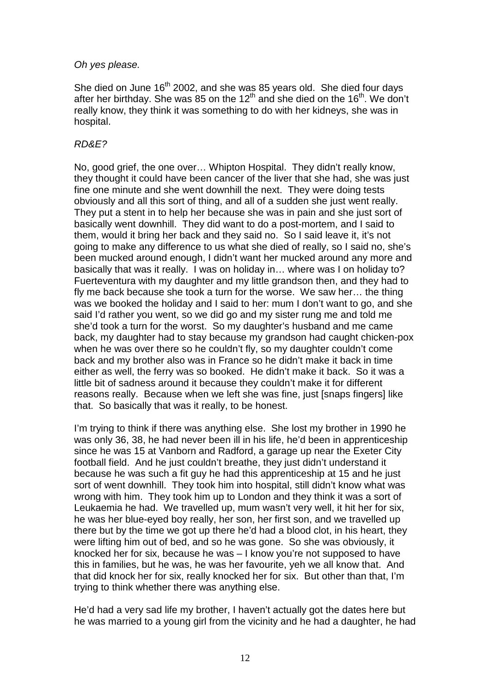### Oh yes please.

She died on June 16<sup>th</sup> 2002, and she was 85 years old. She died four days after her birthday. She was 85 on the 12<sup>th</sup> and she died on the 16<sup>th</sup>. We don't really know, they think it was something to do with her kidneys, she was in hospital.

# RD&E?

No, good grief, the one over… Whipton Hospital. They didn't really know, they thought it could have been cancer of the liver that she had, she was just fine one minute and she went downhill the next. They were doing tests obviously and all this sort of thing, and all of a sudden she just went really. They put a stent in to help her because she was in pain and she just sort of basically went downhill. They did want to do a post-mortem, and I said to them, would it bring her back and they said no. So I said leave it, it's not going to make any difference to us what she died of really, so I said no, she's been mucked around enough, I didn't want her mucked around any more and basically that was it really. I was on holiday in… where was I on holiday to? Fuerteventura with my daughter and my little grandson then, and they had to fly me back because she took a turn for the worse. We saw her… the thing was we booked the holiday and I said to her: mum I don't want to go, and she said I'd rather you went, so we did go and my sister rung me and told me she'd took a turn for the worst. So my daughter's husband and me came back, my daughter had to stay because my grandson had caught chicken-pox when he was over there so he couldn't fly, so my daughter couldn't come back and my brother also was in France so he didn't make it back in time either as well, the ferry was so booked. He didn't make it back. So it was a little bit of sadness around it because they couldn't make it for different reasons really. Because when we left she was fine, just [snaps fingers] like that. So basically that was it really, to be honest.

I'm trying to think if there was anything else. She lost my brother in 1990 he was only 36, 38, he had never been ill in his life, he'd been in apprenticeship since he was 15 at Vanborn and Radford, a garage up near the Exeter City football field. And he just couldn't breathe, they just didn't understand it because he was such a fit guy he had this apprenticeship at 15 and he just sort of went downhill. They took him into hospital, still didn't know what was wrong with him. They took him up to London and they think it was a sort of Leukaemia he had. We travelled up, mum wasn't very well, it hit her for six, he was her blue-eyed boy really, her son, her first son, and we travelled up there but by the time we got up there he'd had a blood clot, in his heart, they were lifting him out of bed, and so he was gone. So she was obviously, it knocked her for six, because he was – I know you're not supposed to have this in families, but he was, he was her favourite, yeh we all know that. And that did knock her for six, really knocked her for six. But other than that, I'm trying to think whether there was anything else.

He'd had a very sad life my brother, I haven't actually got the dates here but he was married to a young girl from the vicinity and he had a daughter, he had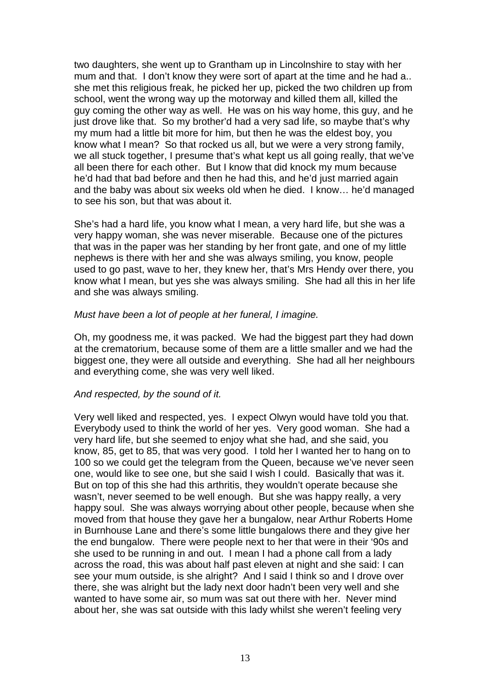two daughters, she went up to Grantham up in Lincolnshire to stay with her mum and that. I don't know they were sort of apart at the time and he had a.. she met this religious freak, he picked her up, picked the two children up from school, went the wrong way up the motorway and killed them all, killed the guy coming the other way as well. He was on his way home, this guy, and he just drove like that. So my brother'd had a very sad life, so maybe that's why my mum had a little bit more for him, but then he was the eldest boy, you know what I mean? So that rocked us all, but we were a very strong family, we all stuck together, I presume that's what kept us all going really, that we've all been there for each other. But I know that did knock my mum because he'd had that bad before and then he had this, and he'd just married again and the baby was about six weeks old when he died. I know… he'd managed to see his son, but that was about it.

She's had a hard life, you know what I mean, a very hard life, but she was a very happy woman, she was never miserable. Because one of the pictures that was in the paper was her standing by her front gate, and one of my little nephews is there with her and she was always smiling, you know, people used to go past, wave to her, they knew her, that's Mrs Hendy over there, you know what I mean, but yes she was always smiling. She had all this in her life and she was always smiling.

### Must have been a lot of people at her funeral, I imagine.

Oh, my goodness me, it was packed. We had the biggest part they had down at the crematorium, because some of them are a little smaller and we had the biggest one, they were all outside and everything. She had all her neighbours and everything come, she was very well liked.

#### And respected, by the sound of it.

Very well liked and respected, yes. I expect Olwyn would have told you that. Everybody used to think the world of her yes. Very good woman. She had a very hard life, but she seemed to enjoy what she had, and she said, you know, 85, get to 85, that was very good. I told her I wanted her to hang on to 100 so we could get the telegram from the Queen, because we've never seen one, would like to see one, but she said I wish I could. Basically that was it. But on top of this she had this arthritis, they wouldn't operate because she wasn't, never seemed to be well enough. But she was happy really, a very happy soul. She was always worrying about other people, because when she moved from that house they gave her a bungalow, near Arthur Roberts Home in Burnhouse Lane and there's some little bungalows there and they give her the end bungalow. There were people next to her that were in their '90s and she used to be running in and out. I mean I had a phone call from a lady across the road, this was about half past eleven at night and she said: I can see your mum outside, is she alright? And I said I think so and I drove over there, she was alright but the lady next door hadn't been very well and she wanted to have some air, so mum was sat out there with her. Never mind about her, she was sat outside with this lady whilst she weren't feeling very